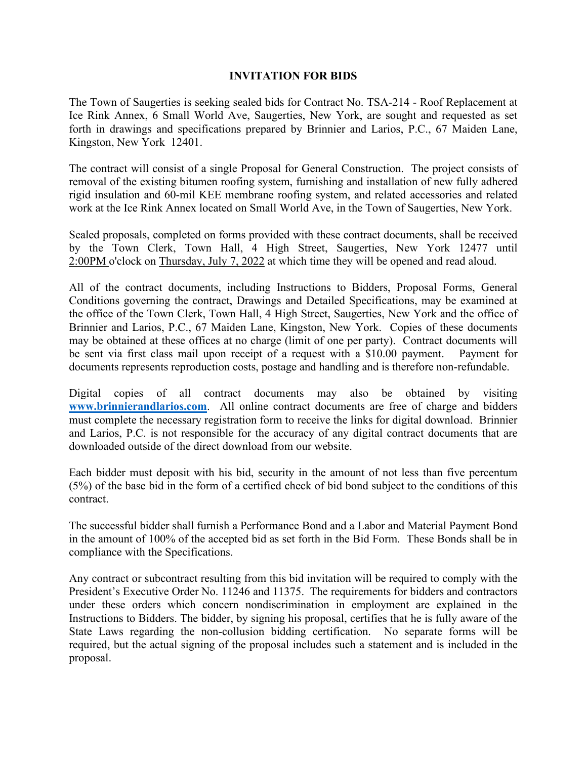## **INVITATION FOR BIDS**

The Town of Saugerties is seeking sealed bids for Contract No. TSA-214 - Roof Replacement at Ice Rink Annex, 6 Small World Ave, Saugerties, New York, are sought and requested as set forth in drawings and specifications prepared by Brinnier and Larios, P.C., 67 Maiden Lane, Kingston, New York 12401.

The contract will consist of a single Proposal for General Construction. The project consists of removal of the existing bitumen roofing system, furnishing and installation of new fully adhered rigid insulation and 60-mil KEE membrane roofing system, and related accessories and related work at the Ice Rink Annex located on Small World Ave, in the Town of Saugerties, New York.

Sealed proposals, completed on forms provided with these contract documents, shall be received by the Town Clerk, Town Hall, 4 High Street, Saugerties, New York 12477 until 2:00PM o'clock on Thursday, July 7, 2022 at which time they will be opened and read aloud.

All of the contract documents, including Instructions to Bidders, Proposal Forms, General Conditions governing the contract, Drawings and Detailed Specifications, may be examined at the office of the Town Clerk, Town Hall, 4 High Street, Saugerties, New York and the office of Brinnier and Larios, P.C., 67 Maiden Lane, Kingston, New York. Copies of these documents may be obtained at these offices at no charge (limit of one per party). Contract documents will be sent via first class mail upon receipt of a request with a \$10.00 payment. Payment for documents represents reproduction costs, postage and handling and is therefore non-refundable.

Digital copies of all contract documents may also be obtained by visiting **[www.brinnierandlarios.com](http://www.brinnierandlarios.com/)**. All online contract documents are free of charge and bidders must complete the necessary registration form to receive the links for digital download. Brinnier and Larios, P.C. is not responsible for the accuracy of any digital contract documents that are downloaded outside of the direct download from our website.

Each bidder must deposit with his bid, security in the amount of not less than five percentum (5%) of the base bid in the form of a certified check of bid bond subject to the conditions of this contract.

The successful bidder shall furnish a Performance Bond and a Labor and Material Payment Bond in the amount of 100% of the accepted bid as set forth in the Bid Form. These Bonds shall be in compliance with the Specifications.

Any contract or subcontract resulting from this bid invitation will be required to comply with the President's Executive Order No. 11246 and 11375. The requirements for bidders and contractors under these orders which concern nondiscrimination in employment are explained in the Instructions to Bidders. The bidder, by signing his proposal, certifies that he is fully aware of the State Laws regarding the non-collusion bidding certification. No separate forms will be required, but the actual signing of the proposal includes such a statement and is included in the proposal.